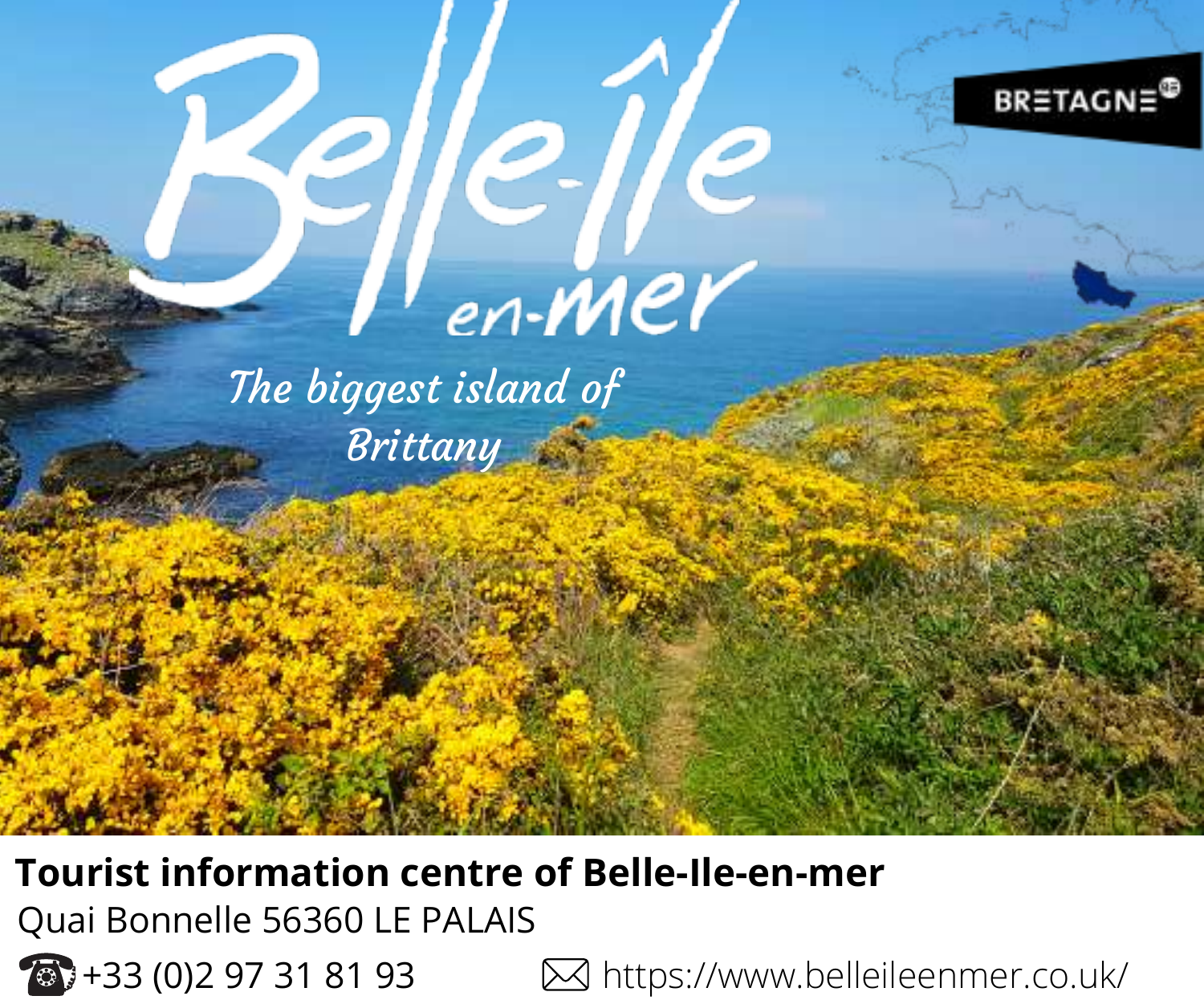

**Tourist information centre of Belle-Ile-en-mer** Quai Bonnelle 56360 LE PALAIS



+33 (0)2 97 31 81 93 https://www.belleileenmer.co.uk/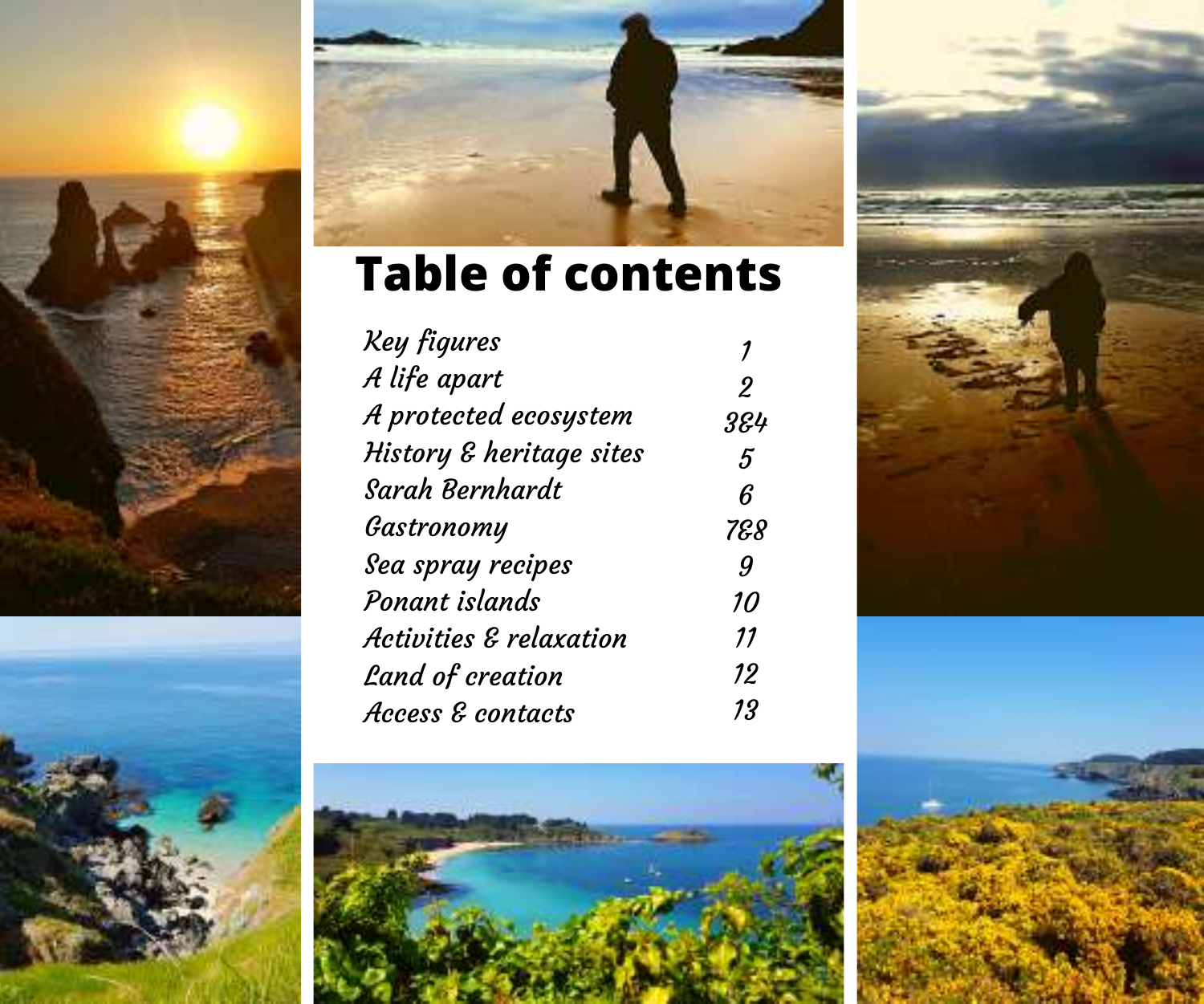





# **Table of contents**

| 2   |
|-----|
| 384 |
| 5   |
| ĥ   |
| 788 |
| 9   |
| 10  |
| 11  |
| 12  |
| 13  |
|     |





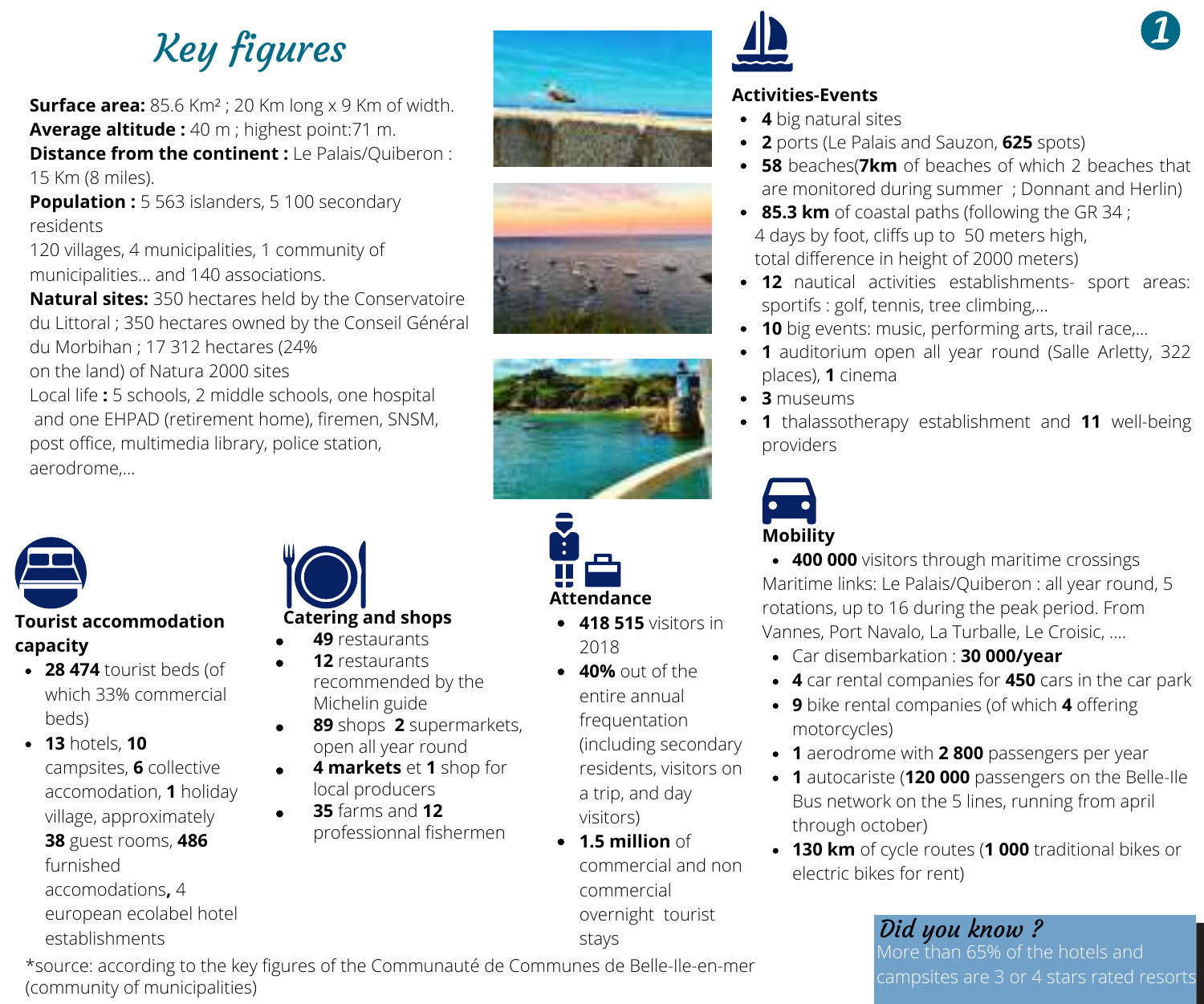Key figures

**Surface area:** 85.6 Km² ; 20 Km long x 9 Km of width. **Average altitude :** 40 m ; highest point:71 m.**Distance from the continent :**Le Palais/Quiberon : 15 Km (8 miles).

**Population :** 5 563 islanders, 5 100 secondary residents

120 villages, 4 municipalities, 1 community of municipalities… and 140 associations.

**Natural sites:** 350 hectares held by the Conservatoire du Littoral ; 350 hectares owned by the Conseil Général du Morbihan ; 17 312 hectares (24% on the land) of Natura 2000 sites

Local life **:** 5 schools, 2 middle schools, one hospital and one EHPAD (retirement home), firemen, SNSM, post office, multimedia library, police station, aerodrome,...



#### **Tourist accommodation capacity**

- **28 474** tourist beds (of which 33% commercial beds)
- **13** hotels, **10** campsites, **6** collective accomodation, **1** holiday village, approximately **38** guest rooms, **486** furnished accomodations**,** 4 european ecolabel hotel





#### **49** restaurants

- **12** restaurants
- recommended by the Michelin guide
- **89** shops **2** supermarkets, open all year round
- **4 markets** et **1** shop for local producers
- **35** farms and **12** professionnal fishermen









- **418 515** visitors in 2018
- **40%** out of the entire annual frequentation (including secondary residents, visitors on a trip, and day visitors)
- **1.5 million** of commercial and non commercial overnight tourist
- stays

\*source: according to the key figures of the Communauté de Communes de Belle-Ile-en-mer (community of municipalities)

#### **Activities-Events**

- **4** big natural sites
- **2** ports (Le Palais and Sauzon, **625** spots)
- **58** beaches(**7km** of beaches of which 2 beaches that are monitored during summer ; Donnant and Herlin)
- **85.3 km** of coastal paths (following the GR 34 ; 4 days by foot, cliffs up to 50 meters high total difference in height of 2000 meters)
- **12** nautical activities establishments- sport areas: sportifs : golf, tennis, tree climbing,...
- **10** big events: music, performing arts, trail race
- **1** auditorium open all year round (Salle Arletty, 322 places), **1** cinema
- **3** museums
- **1** thalassotherany establishment and **11** well-being providers



**400 000** visitors through maritime crossings Maritime links: Le Palais/Quiberon : all year round, 5 rotations, up to 16 during the peak period. From Vannes, Port Navalo, La Turballe, Le Croisic, ....

- Car disembarkation : **30 000/year**
- **4** car rental companies for **450** cars in the car park
- **9** bike rental companies (of which **4** offering motorcycles)
- **1** aerodrome with **2 800** passengers per year
- **1** autocariste (**120 000** passengers on the Belle-Ile Bus network on the 5 lines, running from april through october)
- **130 km** of cycle routes (**1 000** traditional bikes or electric bikes for rent)

### Did you know ? More than 65% of the hotels and

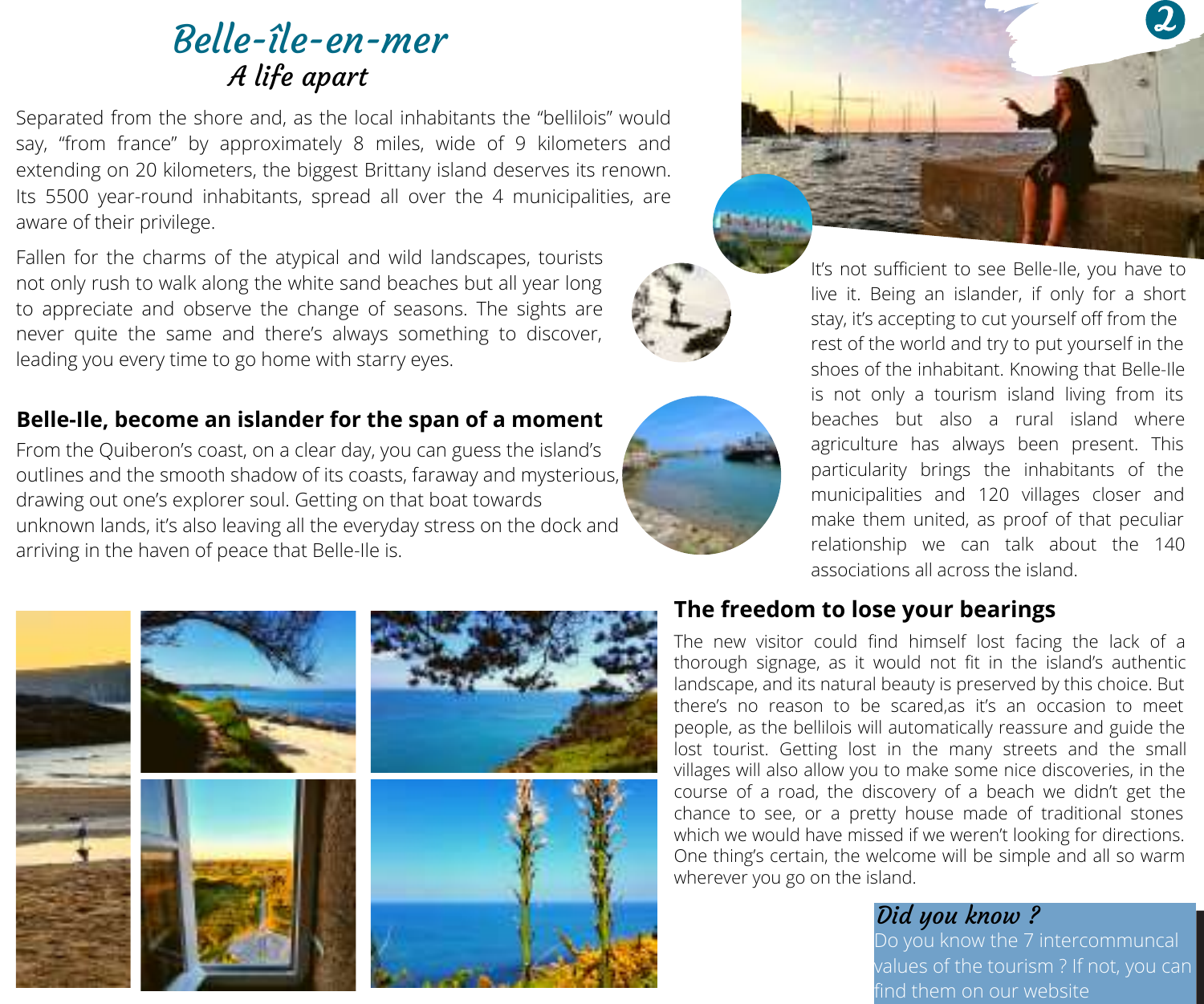### Belle-île-en-mer A life apart

Separated from the shore and, as the local inhabitants the "bellilois" would say, "from france" by approximately 8 miles, wide of 9 kilometers and extending on 20 kilometers, the biggest Brittany island deserves its renown. Its 5500 year-round inhabitants, spread all over the 4 municipalities, are aware of their privilege.

Fallen for the charms of the atypical and wild landscapes, tourists not only rush to walk along the white sand beaches but all year long to appreciate and observe the change of seasons. The sights are never quite the same and there's always something to discover, leading you every time to go home with starry eyes.

#### **Belle-Ile, become an islander for the span of a moment**

From the Quiberon's coast, on a clear day, you can guess the island's outlines and the smooth shadow of its coasts, faraway and mysterious, drawing out one's explorer soul. Getting on that boat towards unknown lands, it's also leaving all the everyday stress on the dock and arriving in the haven of peace that Belle-Ile is.



It's not sufficient to see Belle-Ile, you have to live it. Being an islander, if only for a short stay, it's accepting to cut yourself off from the rest of the world and try to put yourself in the shoes of the inhabitant. Knowing that Belle-Ile is not only a tourism island living from its beaches but also a rural island where agriculture has always been present. This particularity brings the inhabitants of the municipalities and 120 villages closer and make them united, as proof of that peculiar relationship we can talk about the 140 associations all across the island.



#### **The freedom to lose your bearings**

The new visitor could find himself lost facing the lack of a thorough signage, as it would not fit in the island's authentic landscape, and its natural beauty is preserved by this choice. But there's no reason to be scared,as it's an occasion to meet people, as the bellilois will automatically reassure and guide the lost tourist. Getting lost in the many streets and the small villages will also allow you to make some nice discoveries, in the course of a road, the discovery of a beach we didn't get the chance to see, or a pretty house made of traditional stones which we would have missed if we weren't looking for directions. One thing's certain, the welcome will be simple and all so warm wherever you go on the island.

#### Did you know ?

o you know the 7 intercommuncal

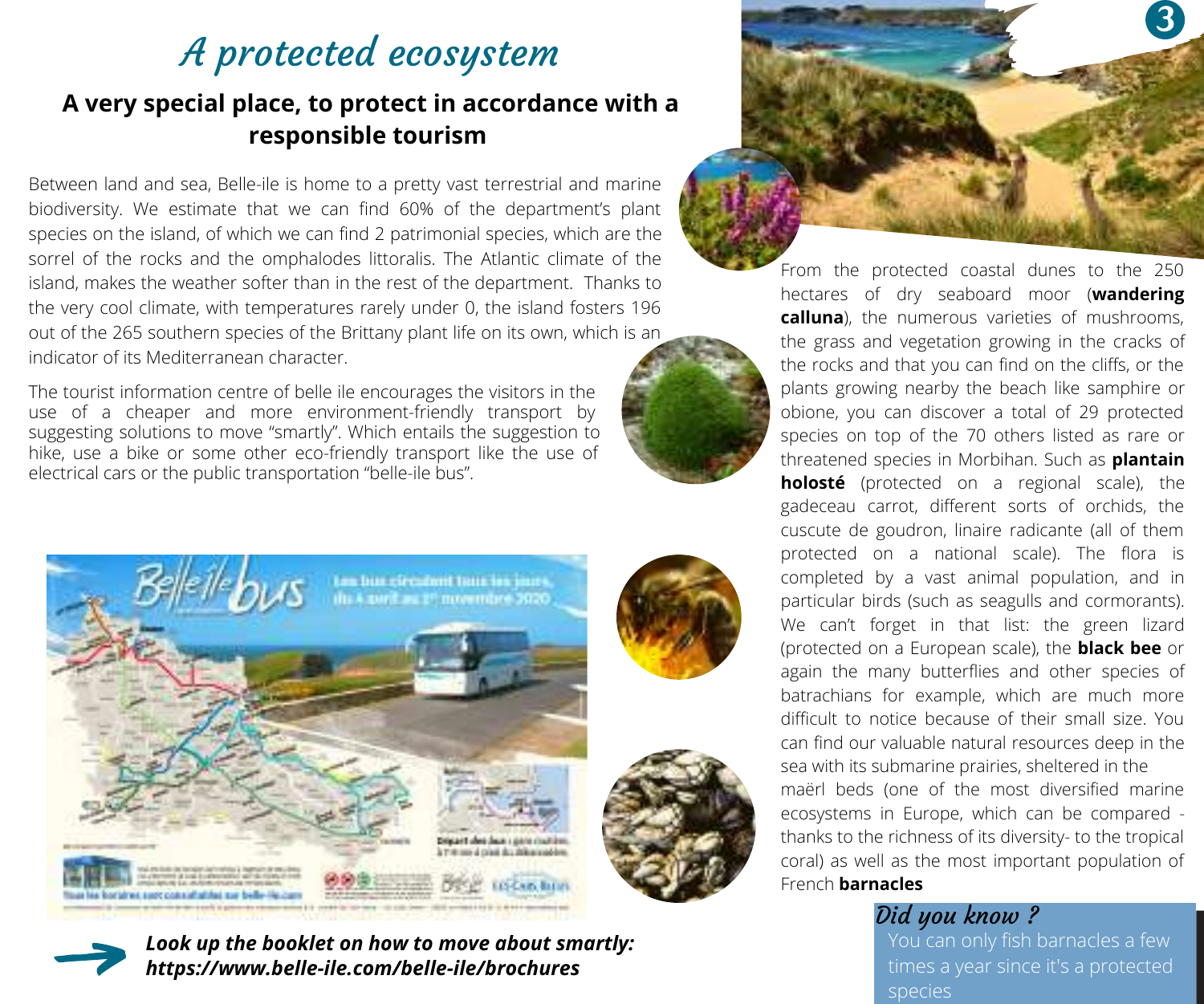# A protected ecosystem

### **A very special place, to protect in accordance with a responsible tourism**

Between land and sea, Belle-ile is home to a pretty vast terrestrial and marine biodiversity. We estimate that we can find 60% of the department's plant species on the island, of which we can find 2 patrimonial species, which are the sorrel of the rocks and the omphalodes littoralis. The Atlantic climate of the island, makes the weather softer than in the rest of the department. Thanks to the very cool climate, with temperatures rarely under 0, the island fosters 196 out of the 265 southern species of the Brittany plant life on its own, which is an indicator of its Mediterranean character.

The tourist information centre of belle ile encourages the visitors in the use of a cheaper and more environment-friendly transport by suggesting solutions to move "smartly". Which entails the suggestion to hike, use a bike or some other eco-friendly transport like the use of electrical cars or the public transportation "belle-ile bus".



*Look up the booklet on how to move about smartly: https://www.belle-ile.com/belle-ile/brochures*



From the protected coastal dunes to the 250 hectares of dry seaboard moor (**wandering calluna**), the numerous varieties of mushrooms, the grass and vegetation growing in the cracks of the rocks and that you can find on the cliffs, or the plants growing nearby the beach like samphire or obione, you can discover a total of 29 protected species on top of the 70 others listed as rare or threatened species in Morbihan. Such as **plantain holosté** (protected on a regional scale), the gadeceau carrot, different sorts of orchids, the cuscute de goudron, linaire radicante (all of them protected on a national scale). The flora is completed by a vast animal population, and in particular birds (such as seagulls and cormorants). .<br>We can't forget in that list: the green lizard (protected on a European scale), the **black bee** or again the many butterflies and other species of batrachians for example, which are much more difficult to notice because of their small size. You can find our valuable natural resources deep in the sea with its submarine prairies, sheltered in the

maërl beds (one of the most diversified marine ecosystems in Europe, which can be compared thanks to the richness of its diversity- to the tropical coral) as well as the most important population of French **barnacles**

#### Did you know ?

You can only fish barnacles a few



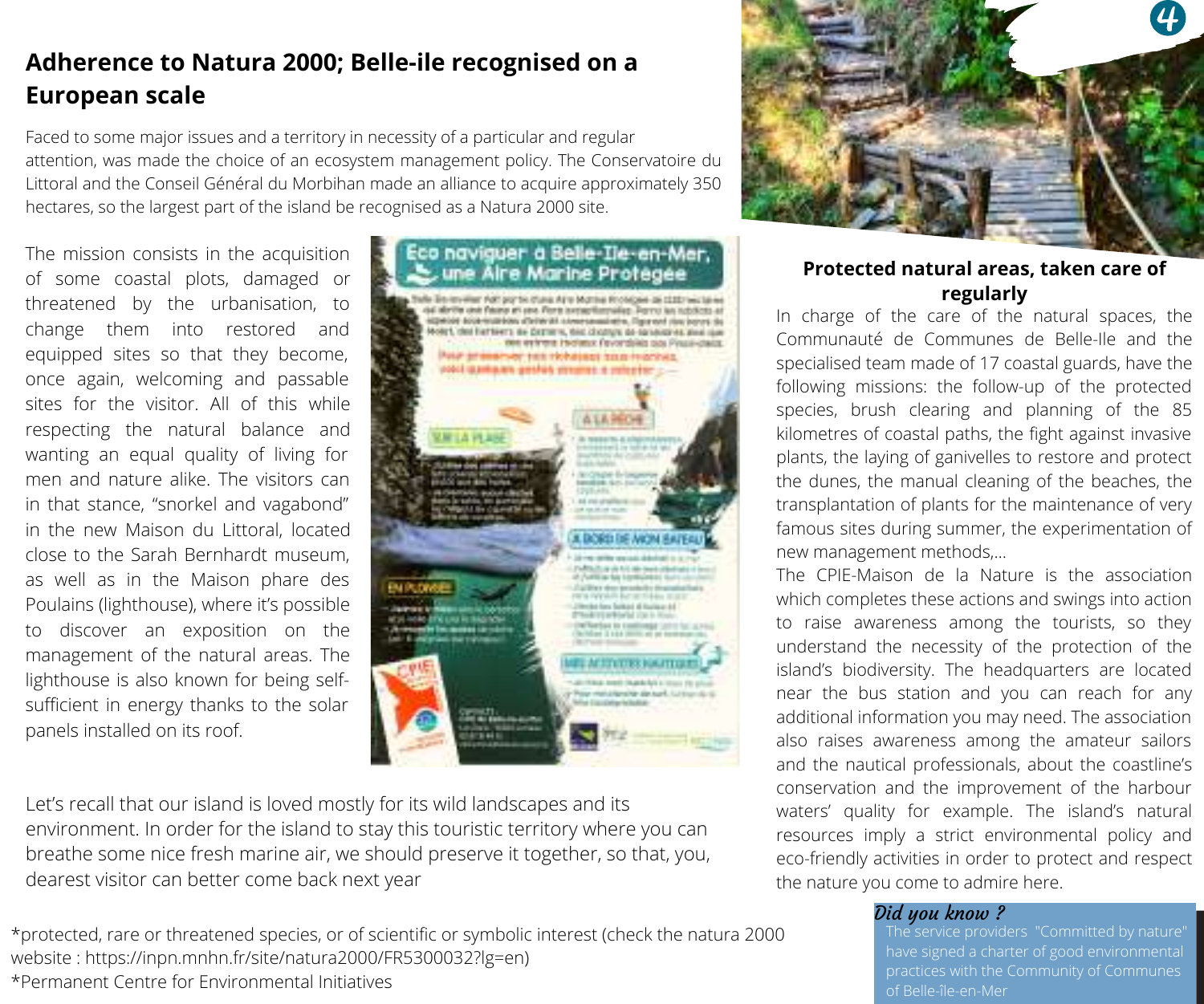### **Adherence to Natura 2000; Belle-ile recognised on a European scale**

Faced to some major issues and a territory in necessity of a particular and regular attention, was made the choice of an ecosystem management policy. The Conservatoire du Littoral and the Conseil Général du Morbihan made an alliance to acquire approximately 350 hectares, so the largest part of the island be recognised as a Natura 2000 site.

The mission consists in the acquisition of some coastal plots, damaged or threatened by the urbanisation, to change them into restored and equipped sites so that they become, once again, welcoming and passable sites for the visitor. All of this while respecting the natural balance and wanting an equal quality of living for men and nature alike. The visitors can in that stance, "snorkel and vagabond" in the new Maison du Littoral, located close to the Sarah Bernhardt museum, as well as in the Maison phare des Poulains (lighthouse), where it's possible to discover an exposition on the management of the natural areas. The lighthouse is also known for being selfsufficient in energy thanks to the solar panels installed on its roof.



Let's recall that our island is loved mostly for its wild landscapes and its environment. In order for the island to stay this touristic territory where you can breathe some nice fresh marine air, we should preserve it together, so that, you, dearest visitor can better come back next year

\*protected, rare or threatened species, or of scientific or symbolic interest (check the natura 2000 website : https://inpn.mnhn.fr/site/natura2000/FR5300032?lg=en) \*Permanent Centre for Environmental Initiatives



#### **Protected natural areas, taken care of regularly**

In charge of the care of the natural spaces, the Communauté de Communes de Belle-Ile and the specialised team made of 17 coastal guards, have the following missions: the follow-up of the protected species, brush clearing and planning of the 85 kilometres of coastal paths, the fight against invasive plants, the laying of ganivelles to restore and protect the dunes, the manual cleaning of the beaches, the transplantation of plants for the maintenance of very famous sites during summer, the experimentation of new management methods,…

The CPIE-Maison de la Nature is the association which completes these actions and swings into action to raise awareness among the tourists, so they understand the necessity of the protection of the island's biodiversity. The headquarters are located near the bus station and you can reach for any additional information you may need. The association also raises awareness among the amateur sailors and the nautical professionals, about the coastline's conservation and the improvement of the harbour waters' quality for example. The island's natural resources imply a strict environmental policy and eco-friendly activities in order to protect and respect the nature you come to admire here.

**Did you know ?**<br>The service providers "Committed by nature"<br>have signed a charter of good environmental<br>practices with the Community of Communes<br>of Belle-île-en-Mer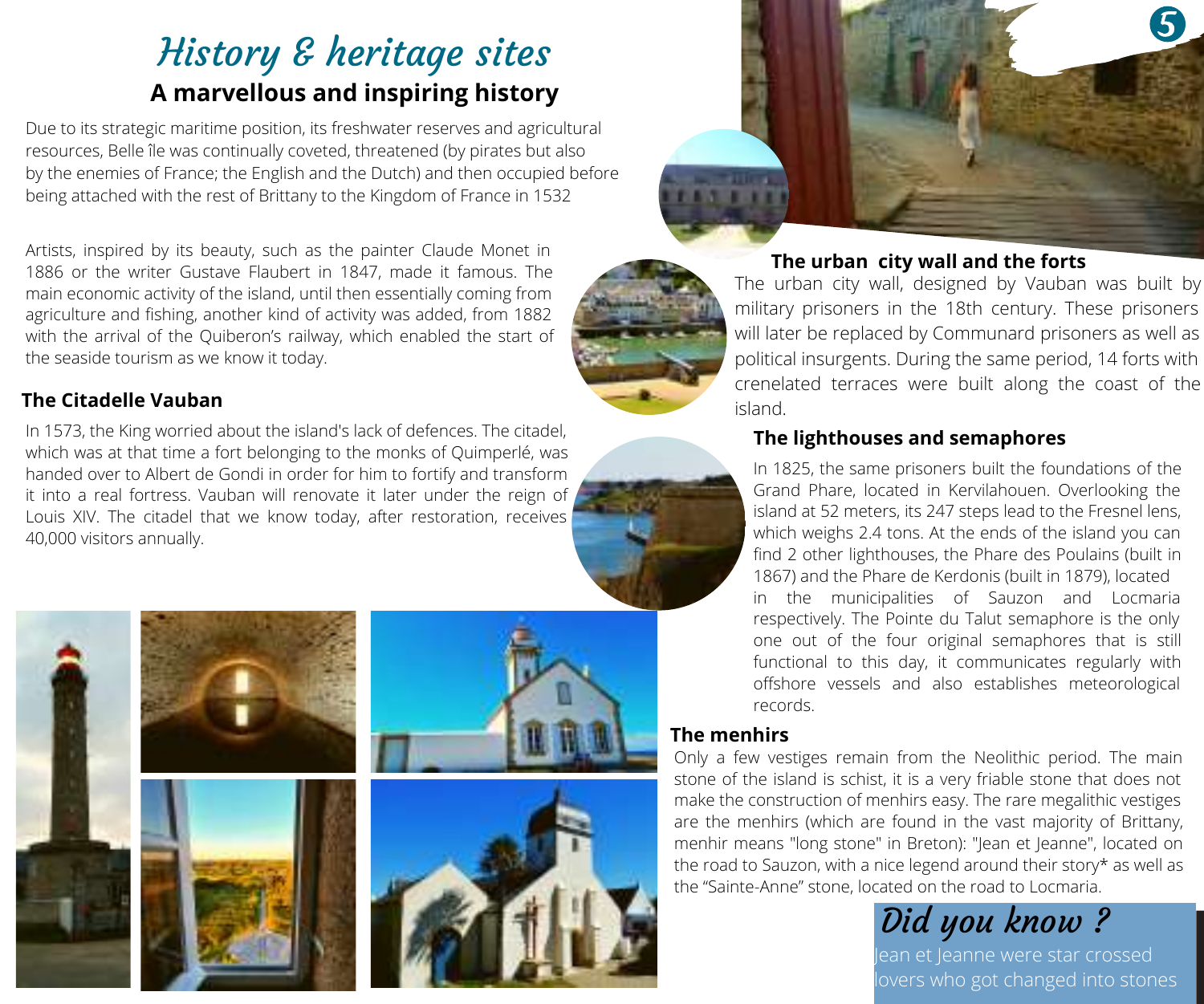## History & heritage sites **A marvellous and inspiring history**

Due to its strategic maritime position, its freshwater reserves and agricultural resources, Belle île was continually coveted, threatened (by pirates but also by the enemies of France; the English and the Dutch) and then occupied before being attached with the rest of Brittany to the Kingdom of France in 1532

Artists, inspired by its beauty, such as the painter Claude Monet in 1886 or the writer Gustave Flaubert in 1847, made it famous. The main economic activity of the island, until then essentially coming from agriculture and fishing, another kind of activity was added, from 1882 with the arrival of the Quiberon's railway, which enabled the start of the seaside tourism as we know it today.

#### **The Citadelle Vauban**

In 1573, the King worried about the island's lack of defences. The citadel, which was at that time a fort belonging to the monks of Quimperlé, was handed over to Albert de Gondi in order for him to fortify and transform it into a real fortress. Vauban will renovate it later under the reign of Louis XIV. The citadel that we know today, after restoration, receives 40,000 visitors annually.







#### **The urban city wall and the forts**

The urban city wall, designed by Vauban was built by military prisoners in the 18th century. These prisoners will later be replaced by Communard prisoners as well as political insurgents. During the same period, 14 forts with crenelated terraces were built along the coast of the island.

#### **The lighthouses and semaphores**

in the municipalities of Sauzon and Locmaria respectively. The Pointe du Talut semaphore is the only one out of the four original semaphores that is still functional to this day, it communicates regularly with offshore vessels and also establishes meteorological records. In 1825, the same prisoners built the foundations of the Grand Phare, located in Kervilahouen. Overlooking the island at 52 meters, its 247 steps lead to the Fresnel lens, which weighs 2.4 tons. At the ends of the island you can find 2 other lighthouses, the Phare des Poulains (built in 1867) and the Phare de Kerdonis (built in 1879), located

#### **The menhirs**

Only a few vestiges remain from the Neolithic period. The main stone of the island is schist, it is a very friable stone that does not make the construction of menhirs easy. The rare megalithic vestiges are the menhirs (which are found in the vast majority of Brittany, menhir means "long stone" in Breton): "Jean et Jeanne", located on the road to Sauzon, with a nice legend around their story\* as well as the "Sainte-Anne" stone, located on the road to Locmaria.

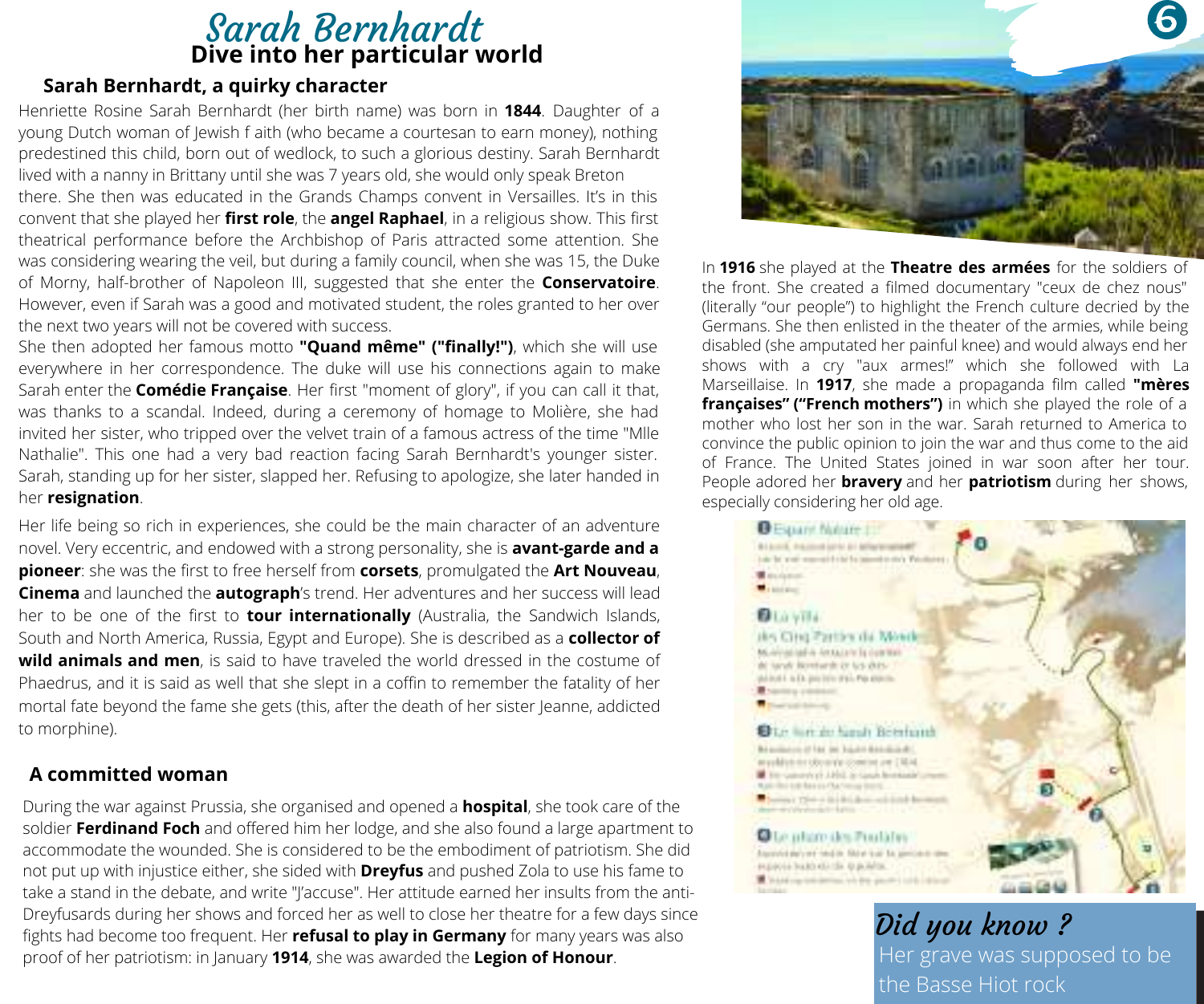### Sarah Bernhardt **Dive into her particular world**

#### **Sarah Bernhardt, a quirky character**

Henriette Rosine Sarah Bernhardt (her birth name) was born in **1844**. Daughter of a young Dutch woman of Jewish f aith (who became a courtesan to earn money), nothing predestined this child, born out of wedlock, to such a glorious destiny. Sarah Bernhardt lived with a nanny in Brittany until she was 7 years old, she would only speak Breton there. She then was educated in the Grands Champs convent in Versailles. It's in this convent that she played her **first role**, the **angel Raphael**, in a religious show. This first theatrical performance before the Archbishop of Paris attracted some attention. She was considering wearing the veil, but during a family council, when she was 15, the Duke of Morny, half-brother of Napoleon III, suggested that she enter the **Conservatoire**. However, even if Sarah was a good and motivated student, the roles granted to her over the next two years will not be covered with success.

She then adopted her famous motto **"Quand même" ("finally!")**, which she will use everywhere in her correspondence. The duke will use his connections again to make Sarah enter the **Comédie Française**. Her first "moment of glory", if you can call it that, was thanks to a scandal. Indeed, during a ceremony of homage to Molière, she had invited her sister, who tripped over the velvet train of a famous actress of the time "Mlle Nathalie". This one had a very bad reaction facing Sarah Bernhardt's younger sister. Sarah, standing up for her sister, slapped her. Refusing to apologize, she later handed in her **resignation**.

Her life being so rich in experiences, she could be the main character of an adventure novel. Very eccentric, and endowed with a strong personality, she is **avant-garde and a pioneer**: she was the first to free herself from **corsets**, promulgated the **Art Nouveau**, **Cinema** and launched the **autograph**'s trend. Her adventures and her success will lead her to be one of the first to **tour internationally** (Australia, the Sandwich Islands, South and North America, Russia, Egypt and Europe). She is described as a **collector of Phaedrus, and it is said as well that she slept in a coffin to remember the fatality of her** mortal fate beyond the fame she gets (this, after the death ofher sister Jeanne, addicted to morphine).

#### **A committed woman**

During the war against Prussia, she organised and opened a **hospital**, she took care of the soldier **Ferdinand Foch** and offered him her lodge, and she also found a large apartment to accommodate the wounded. She is considered to be the embodiment of patriotism. She did not put up with injustice either, she sided with **Dreyfus** and pushed Zola to use his fame to take a stand in the debate, and write "/'accuse". Her attitude earned her insults from the anti-Dreyfusards during her shows and forced her as well to close her theatre for a few days since fights had become too frequent. Her **refusal to play in Germany** for many years was also proof of her patriotism: in January **1914**, she was awarded the **Legion of Honour**.



In **1916** she played at the **Theatre des armées** for the soldiers of the front. She created a filmed documentary "ceux de chez nous" (literally "our people") to highlight the French culture decried by the Germans. She then enlisted in the theater of the armies, while being disabled (she amputated her painful knee) and would always end her shows with a cry "aux armes!" which she followed with La Marseillaise. In **1917**, she made a propaganda film called **"mères françaises" ("French mothers")** in which she played the role of a mother who lost her son in the war. Sarah returned to America to convince the public opinion to join the war and thus come to the aid of France. The United States joined in war soon after her tour. People adored her **bravery** and her **patriotism** during her shows, especially considering her old age.

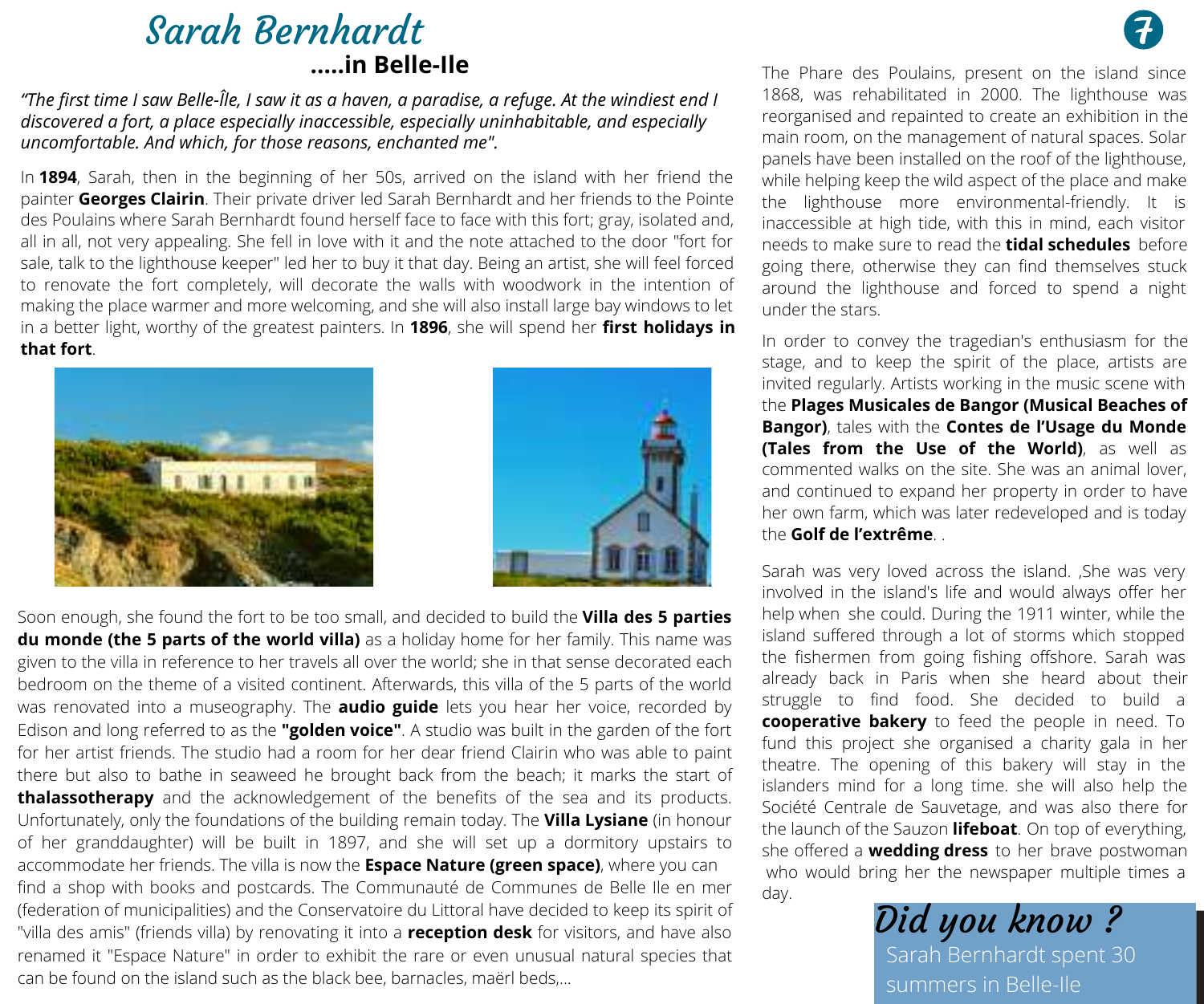### Sarah Bernhardt **.....in Belle-Ile**

"The first time I saw Belle-Île, I saw it as a haven, a paradise, a refuge. At the windiest end I *discovered a fort, a place especially inaccessible, especially uninhabitable, and especially uncomfortable. And which, for those reasons, enchanted me".*

In **1894**, Sarah, then in the beginning of her 50s, arrived on the island with her friend the painter **Georges Clairin**. Their private driver led Sarah Bernhardt and her friends to the Pointe des Poulains where Sarah Bernhardt found herself face to face with this fort; gray, isolated and, all in all, not very appealing. She fell in love with it and the note attached to the door "fort for sale, talk to the lighthouse keeper" led her to buy it that day. Being an artist, she will feel forced to renovate the fort completely, will decorate the walls with woodwork in the intention of making the place warmer and more welcoming, and she will also install large bay windows to let in a better light, worthy of the greatest painters. In **1896**, she will spend her **first holidays in that fort**.





Soon enough, she found the fort to be too small, and decided to build the **Villa des 5 parties du monde (the 5 parts of the world villa)** as a holiday home for her family. This name was given to the villa in reference to her travels all over the world; she in that sense decorated each bedroom on the theme of a visited continent. Afterwards, this villa of the 5 parts of the world was renovated into a museography. The **audio guide** lets you hear her voice, recorded by Edison and long referred to as the **"golden voice"**. A studio was built in the garden ofthe fort for her artist friends. The studio had a room for her dear friend Clairin who was able to paint there but also to bathe in seaweed he brought back from the beach; it marks the start of **thalassotherapy** and the acknowledgement of the benefits of the sea and its products. Unfortunately, only the foundations of the building remain today. The **Villa Lysiane** (in honour of her granddaughter) will be built in 1897, and she will set up a dormitory upstairs to accommodate her friends. The villa is now the **Espace Nature (green space)**, where you can find a shop with books and postcards. The Communauté de Communes de Belle Ile en mer (federation ofmunicipalities) and the Conservatoire du Littoral have decided to keep its spirit of "villa des amis" (friends villa) by renovating it into a **reception desk** for visitors, and have also renamed it"Espace Nature" in order to exhibit the rare or even unusual natural species that can be found on the island such as the black bee, barnacles, maërl beds,

The Phare des Poulains, present on the island since 1868, was rehabilitated in 2000. The lighthouse was reorganised and repainted to create an exhibition in the main room, on the management of natural spaces. Solar panels have been installed on the roof of the lighthouse, while helping keep the wild aspect of the place and make the lighthouse more environmental-friendly. It is inaccessible at high tide, with this in mind, each visitor needs to make sure to read the **tidal schedules** before going there, otherwise they can find themselves stuck around the lighthouse and forced to spend a night under the stars.

In order to convey the tragedian's enthusiasm for the stage, and to keep the spirit of the place, artists are invited regularly. Artists working in the music scene with the **Plages Musicales de Bangor (Musical Beaches of Bangor)**, tales with the **Contes de l'Usage du Monde (Tales from the Use of the World)**, as well as commented walks on the site. She was an animal lover, and continued to expand her property in order to have her own farm, which was later redeveloped and is today the **Golf de l'extrême**. .

Sarah was very loved across the island. She was very involved in the island's life and would always offer her help when she could. During the 1911 winter, while the island suffered through a lot of storms which stopped the fishermen from going fishing offshore. Sarah was already back in Paris when she heard about their struggle to find food. She decided to build a **cooperative bakery** to feed the people in need. To fund this project she organised a charity gala in her theatre. The opening of this bakery will stay in the islanders mind for a long time. she will also help the Société Centrale de Sauvetage, and was also there for the launch of the Sauzon **lifeboat**. On top of everything, she offered a **wedding dress** to her brave postwoman who would bring her the newspaper multiple times a day.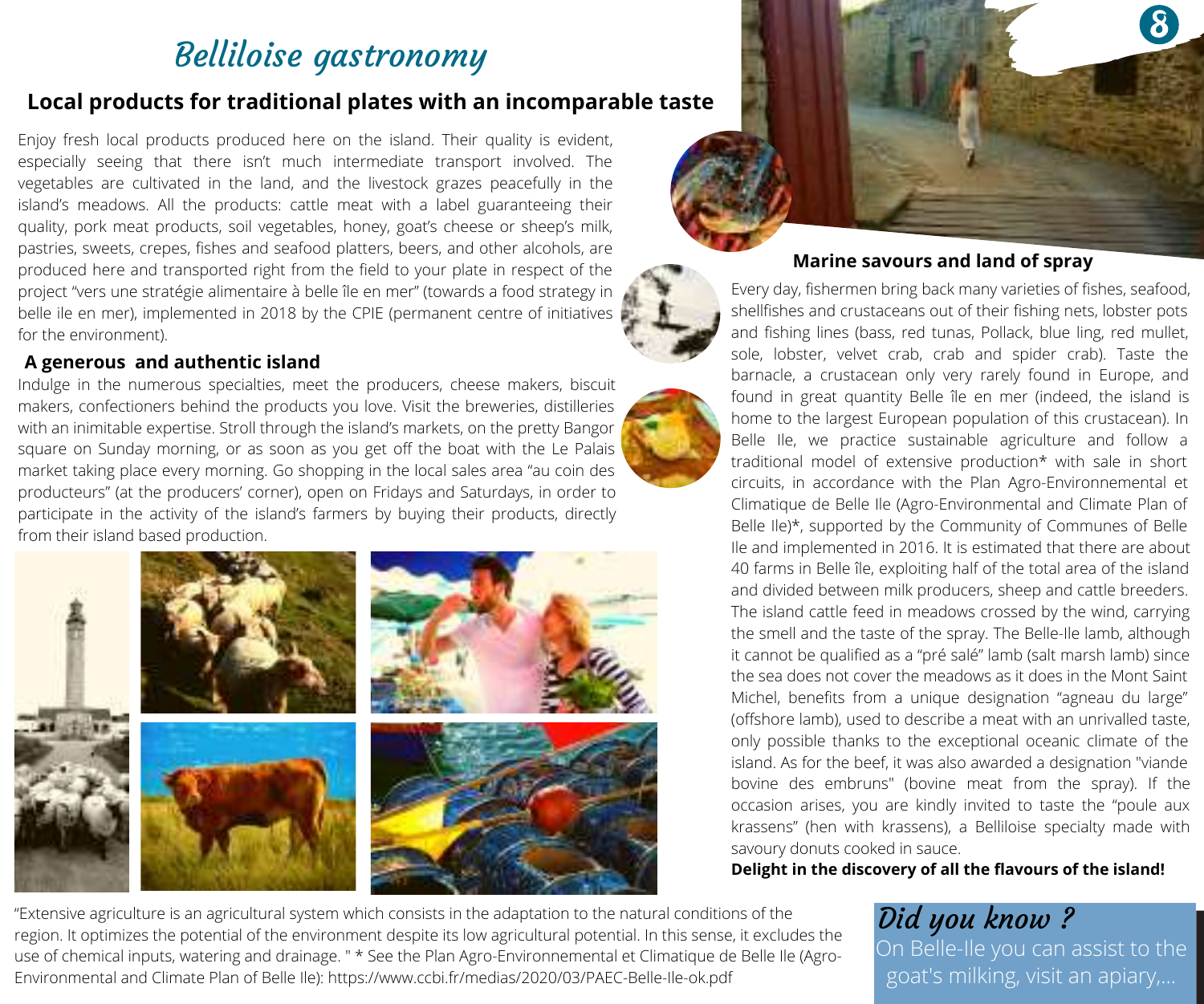### Belliloise gastronomy

#### **Local products for traditional plates with an incomparable taste**

Enjoy fresh local products produced here on the island. Their quality is evident, especially seeing that there isn't much intermediate transport involved. The vegetables are cultivated in the land, and the livestock grazes peacefully in the island's meadows. All the products: cattle meat with a label guaranteeing their quality, pork meat products, soil vegetables, honey, goat's cheese or sheep's milk. pastries, sweets, crepes, fishes and seafood platters, beers, and other alcohols, are produced here and transported right from the field to your plate in respect of the project "vers une stratégie alimentaire à belle île en mer" (towards a food strategy in belle ile en mer), implemented in 2018 by the CPIE (permanent centre of initiatives for the environment).

#### **A generous and authentic island**

Indulge in the numerous specialties, meet the producers, cheese makers, biscuit makers, confectioners behind the products you love. Visit the breweries, distilleries with an inimitable expertise. Stroll through the island's markets, on the pretty Bangor square on Sunday morning, or as soon as you get off the boat with the Le Palais market taking place every morning. Go shopping in the local sales area "au coin des producteurs" (at the producers' corner), open on Fridays and Saturdays, in order to participate in the activity of the island's farmers by buying their products, directly from their island based production.





#### **Marine savours and land of spray**

Every day, fishermen bring back many varieties of fishes, seafood, shellfishes and crustaceans out of their fishing nets, lobster pots and fishing lines (bass, red tunas, Pollack, blue ling, red mullet, sole, lobster, velvet crab, crab and spider crab). Taste the barnacle, a crustacean only very rarely found in Europe, and found in great quantity Belle île en mer (indeed, the island is home to the largest European population of this crustacean). In Belle Ile, we practice sustainable agriculture and follow a traditional model of extensive production\* with sale in short circuits, in accordance with the Plan Agro-Environnemental et Climatique de Belle Ile (Agro-Environmental and Climate Plan of Belle Ile)\*, supported by the Community of Communes of Belle Ile and implemented in 2016. It is estimated that there are about 40 farms in Belle île, exploiting half of the total area of the island and divided between milk producers, sheep and cattle breeders. The island cattle feed in meadows crossed by the wind, carrying the smell and the taste of the spray. The Belle-Ile lamb, although it cannot be qualified as a "pré salé" lamb (salt marsh lamb) since the sea does not cover the meadows as it does in the Mont Saint Michel, benefits from a unique designation "agneau du large" (offshore lamb), used to describe a meat with an unrivalled taste, only possible thanks to the exceptional oceanic climate of the island. As for the beef, it was also awarded a designation "viande bovine des embruns" (bovine meat from the spray). If the occasion arises, you are kindly invited to taste the "poule aux krassens" (hen with krassens), a Belliloise specialty made with savoury donuts cooked in sauce.

**Delight in the discovery of all the flavours of the island!**

"Extensive agriculture is an agricultural system which consists in the adaptation to the natural conditions of the region. It optimizes the potential of the environment despite its low agricultural potential. In this sense, it excludes the use of chemical inputs, watering and drainage. " \* See the Plan Agro-Environnemental et Climatique de Belle Ile (Agro-Environmental and Climate Plan of Belle Ile): https://www.ccbi.fr/medias/2020/03/PAEC-Belle-Ile-ok.pdf

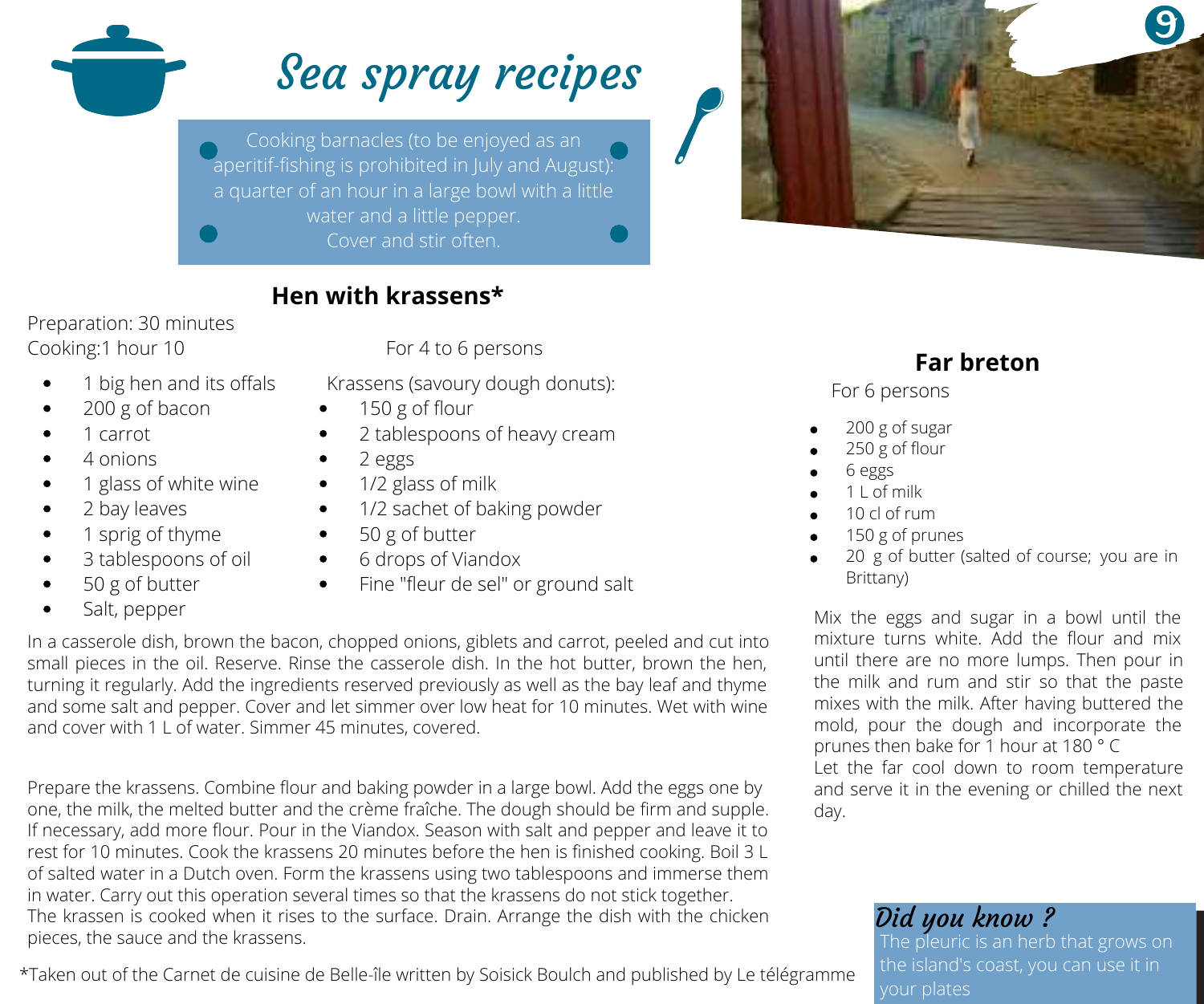

aperitif-fishing is prohibited in July and August):



#### **Hen with krassens\***

Preparation: 30 minutes

For 4 to 6 persons

- 1 big hen and its offals
- 200 g of bacon
- 1 carrot
- 4 onions
- 1 glass of white wine
- 2 bay leaves
- 1 sprig of thyme
- 3 tablespoons of oil
- 50 g of butter
- Salt, pepper
- 
- 150 g of flour
- 2 tablespoons of heavy cream
- 2 eggs
- 1/2 glass of milk
- 1/2 sachet of baking powder
- 50 g of butter
- 6 drops of Viandox
- Fine "fleur de sel" or ground salt

In a casserole dish, brown the bacon, chopped onions, giblets and carrot, peeled and cut into small pieces in the oil. Reserve. Rinse the casserole dish. In the hot butter, brown the hen, turning it regularly. Add the ingredients reserved previously as well as the bay leaf and thyme and some salt and pepper. Cover and let simmer over low heat for 10 minutes. Wet with wine and cover with 1 L of water. Simmer 45 minutes, covered.

Prepare the krassens. Combine flour and baking powder in a large bowl. Add the eggs one by one, the milk, the melted butter and the crème fraîche. The dough should be firm and supple. If necessary, add more flour. Pour in the Viandox. Season with salt and pepper and leave it to rest for 10 minutes. Cook the krassens 20 minutes before the hen is finished cooking. Boil 3 L of salted water in a Dutch oven. Form the krassens using two tablespoons and immerse them in water. Carry out this operation several times so that the krassens do not stick together. The krassen is cooked when it rises to the surface. Drain. Arrange the dish with the chicken pieces, the sauce and the krassens.

\*Taken out of the Carnet de cuisine de Belle-île written by Soisick Boulch and published by Le télégramme

### **Far breton**

For 6 persons

- 200 g of sugar
- 250 g of flour
- 6 eggs
- 1 L of milk
- 10 cl of rum
- 150 g of prunes
- 20 g of butter (salted of course; you are in Brittany)

Mix the eggs and sugar in a bowl until the mixture turns white. Add the flour and mix until there are no more lumps. Then pour in the milk and rum and stir so that the paste mixes with the milk. After having buttered the mold, pour the dough and incorporate the prunes then bake for 1 hour at 180 ° C Let the far cool down to room temperature and serve it in the evening or chilled the next day.

### Did you know ?

he pleuric is an herb that grows on

# Krassens (savoury dough donuts):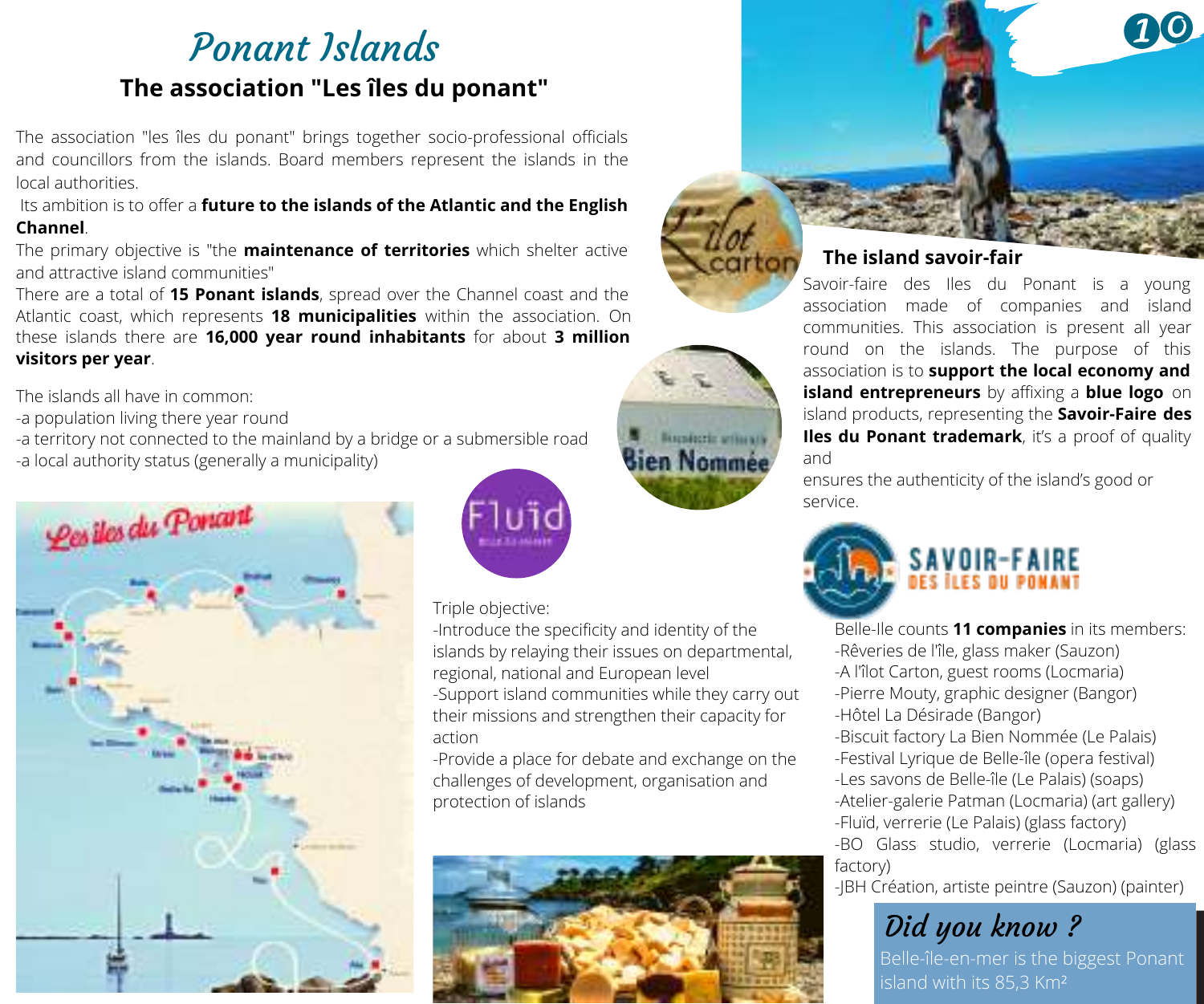## Ponant Islands **The association "Les îles du ponant"**

The association "les îles du ponant" brings together socio-professional officials and councillors from the islands. Board members represent the islands in the local authorities.

Its ambition is to offer a **future to the islands of the Atlantic and the English Channel**.

The primary objective is "the **maintenance of territories** which shelter active and attractive island communities"

There are a total of **15 Ponant islands**, spread over the Channel coast and the Atlantic coast, which represents **18 municipalities** within the association. On these islands there are **16,000 year round inhabitants** for about **3 million visitors per year**.

The islands all have in common:

-a population living there year round

-a territory not connected to the mainland by a bridge or a submersible road

-a local authority status (generally a municipality)





#### Triple objective:

-Introduce the specificity and identity of the islands by relaying their issues on departmental, regional, national and European level -Support island communities while they carry out their missions and strengthen their capacity for action

**Hispanic artists of Sien Nommée** 

-Provide a place for debate and exchange on the challenges of development, organisation and protection of islands





Savoir-faire des Iles du Ponant is a young association made of companies and island communities. This association is present all year round on the islands. The purpose of this association is to **support the local economy and island entrepreneurs** by affixing a **blue logo** on island products, representing the **Savoir-Faire des Iles du Ponant trademark**, it's a proof of quality and

ensures the authenticity of the island's good or service.



Belle-Ile counts **11 companies** in its members: -Rêveries de l'île, glass maker (Sauzon) -A l'îlot Carton, guest rooms (Locmaria) -Pierre Mouty, graphic designer (Bangor) -Hôtel La Désirade (Bangor) -Biscuit factory La Bien Nommée (Le Palais) -Festival Lyrique de Belle-île (opera festival) -Les savons de Belle-île (Le Palais) (soaps) -Atelier-galerie Patman (Locmaria) (art gallery) -Fluïd, verrerie (Le Palais) (glass factory) -BO Glass studio, verrerie (Locmaria) (glass factory)

-JBH Création, artiste peintre (Sauzon) (painter)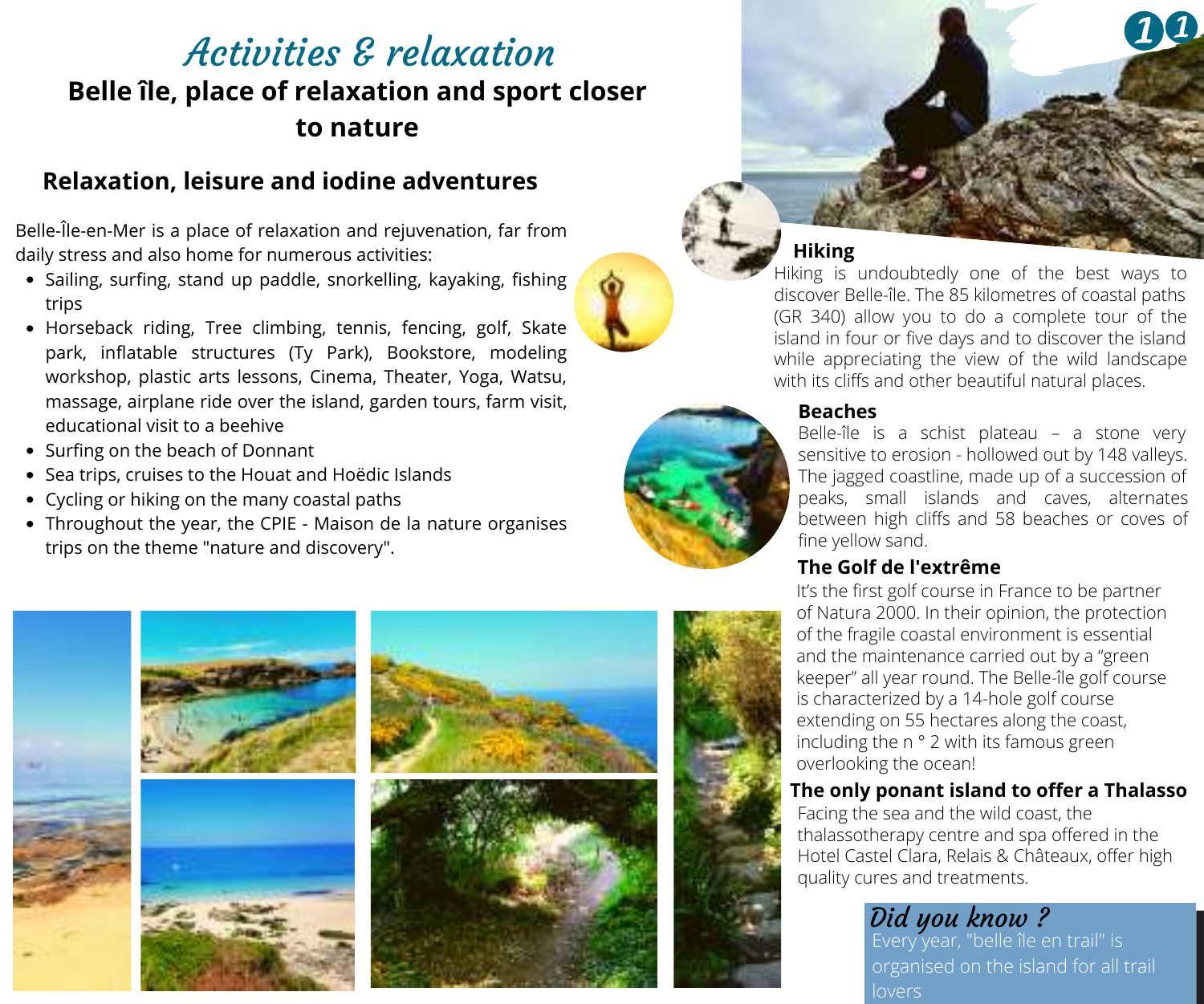### Activities & relaxation **Belle île, place of relaxation and sport closer to nature**

#### **Relaxation, leisure and iodine adventures**

Belle-Île-en-Mer is a place of relaxation and rejuvenation, far from daily stress and also home for numerous activities:

- Sailing, surfing, stand up paddle, snorkelling, kayaking, fishing trips
- Horseback riding, Tree climbing, tennis, fencing, golf, Skate park, inflatable structures (Ty Park), Bookstore, modeling workshop, plastic arts lessons, Cinema, Theater, Yoga, Watsu, massage, airplane ride over the island, garden tours, farm visit, educational visit to a beehive
- Surfing on the beach of Donnant
- Sea trips, cruises to the Houat and Hoëdic Islands
- Cycling or hiking on the many coastal paths
- Throughout the year, the CPIE Maison de la nature organises trips on the theme "nature and discovery".



#### **Hiking**

Hiking is undoubtedly one of the best ways to discover Belle-île. The 85 kilometres of coastal paths (GR 340) allow you to do a complete tour of the island in four or five days and to discover the island while appreciating the view of the wild landscape with its cliffs and other beautiful natural places.

#### **Beaches**

Belle-île is a schist plateau – a stone very sensitive to erosion - hollowed out by 148 valleys. The jagged coastline, made up of a succession of peaks, small islands and caves, alternates between high cliffs and 58 beaches or coves of fine yellow sand.

#### **The Golf de l'extrême**

It's the first golf course in France to be partner of Natura 2000. In their opinion, the protection of the fragile coastal environment is essential and the maintenance carried out by a "green keeper" all year round. The Belle-île golf course is characterized by a 14-hole golf course extending on 55 hectares along the coast, including the n ° 2 with its famous green overlooking the ocean!

#### **The only ponant island to offer a Thalasso**

Facing the sea and the wild coast, the thalassotherapy centre and spa offered in the Hotel Castel Clara, Relais & Châteaux, offer high quality cures and treatments.

# Did you know? Every year, "belle île en trail" is

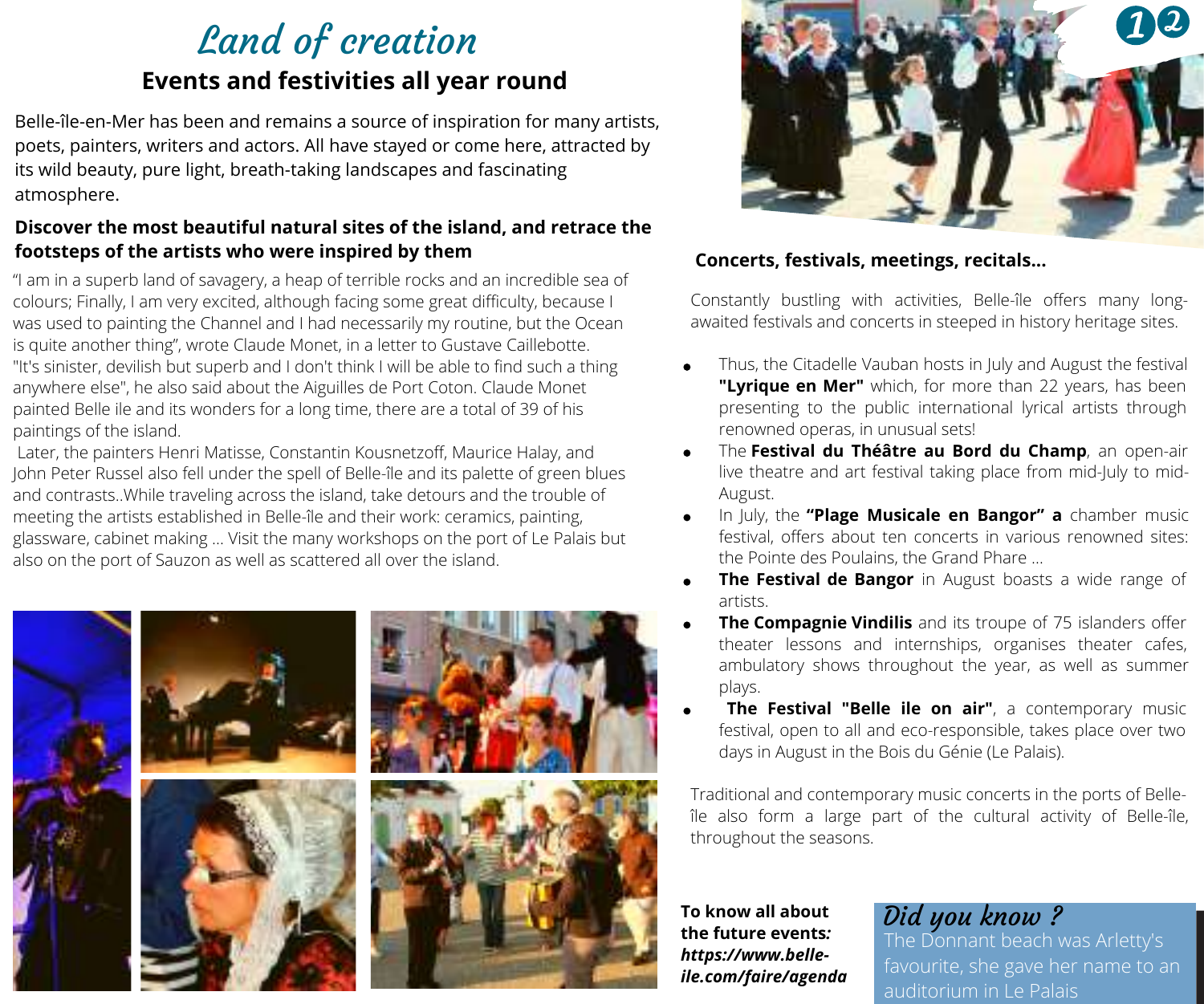## Land of creation **Events and festivities all year round**

Belle-île-en-Mer has been and remains a source of inspiration for many artists, poets, painters, writers and actors. All have stayed or come here, attracted by its wild beauty, pure light, breath-taking landscapes and fascinating atmosphere.

# **Discover the most beautiful natural sites of the island, and retrace the**

"I am in a superb land of savagery, a heap of terrible rocks and an incredible sea of colours; Finally, I am very excited, although facing some great difficulty, because I was used to painting the Channel and I had necessarily my routine, but the Ocean is quite another thing", wrote Claude Monet, in a letter to Gustave Caillebotte. "It's sinister, devilish but superb and I don't think I will be able to find such a thing anywhere else", he also said about the Aiguilles de Port Coton. Claude Monet painted Belle ile and its wonders for a long time, there are a total of 39 of his paintings of the island.

Later, the painters Henri Matisse, Constantin Kousnetzoff, Maurice Halay, and John Peter Russel also fell under the spell of Belle-île and its palette of green blues and contrasts..While traveling across the island, take detours and the trouble of meeting the artists established in Belle-île and their work: ceramics, painting, glassware, cabinet making ... Visit the many workshops on the port of Le Palais but also on the port of Sauzon as well as scattered all over the island.





#### **footsteps of the artists who were inspired by them Concerts, festivals, meetings, recitals...**

Constantly bustling with activities, Belle-île offers many longawaited festivals and concerts in steeped in history heritage sites.

- Thus, the Citadelle Vauban hosts in July and August the festival **"Lyrique en Mer"** which, for more than 22 years, has been presenting to the public international lyrical artists through renowned operas, in unusual sets!
- The **Festival du Théâtre au Bord du Champ**, an open-air live theatre and art festival taking place from mid-July to mid-August.
- In July, the **"Plage Musicale en Bangor" a** chamber music festival, offers about ten concerts in various renowned sites: the Pointe des Poulains, the Grand Phare …
- **The Festival de Bangor** in August boasts a wide range of artists.
- **The Compagnie Vindilis** and its troupe of 75 islanders offer theater lessons and internships, organises theater cafes, ambulatory shows throughout the year, as well as summer plays.
- **The Festival "Belle ile on air"**, a contemporary music festival, open to all and eco-responsible, takes place over two days in August in the Bois du Génie (Le Palais).

Traditional and contemporary music concerts in the ports of Belleîle also form a large part of the cultural activity of Belle-île, throughout the seasons.

**To know all about the future events***: https://www.belleile.com/faire/agenda*

### Did you know ?

he Donnant beach was Arletty's